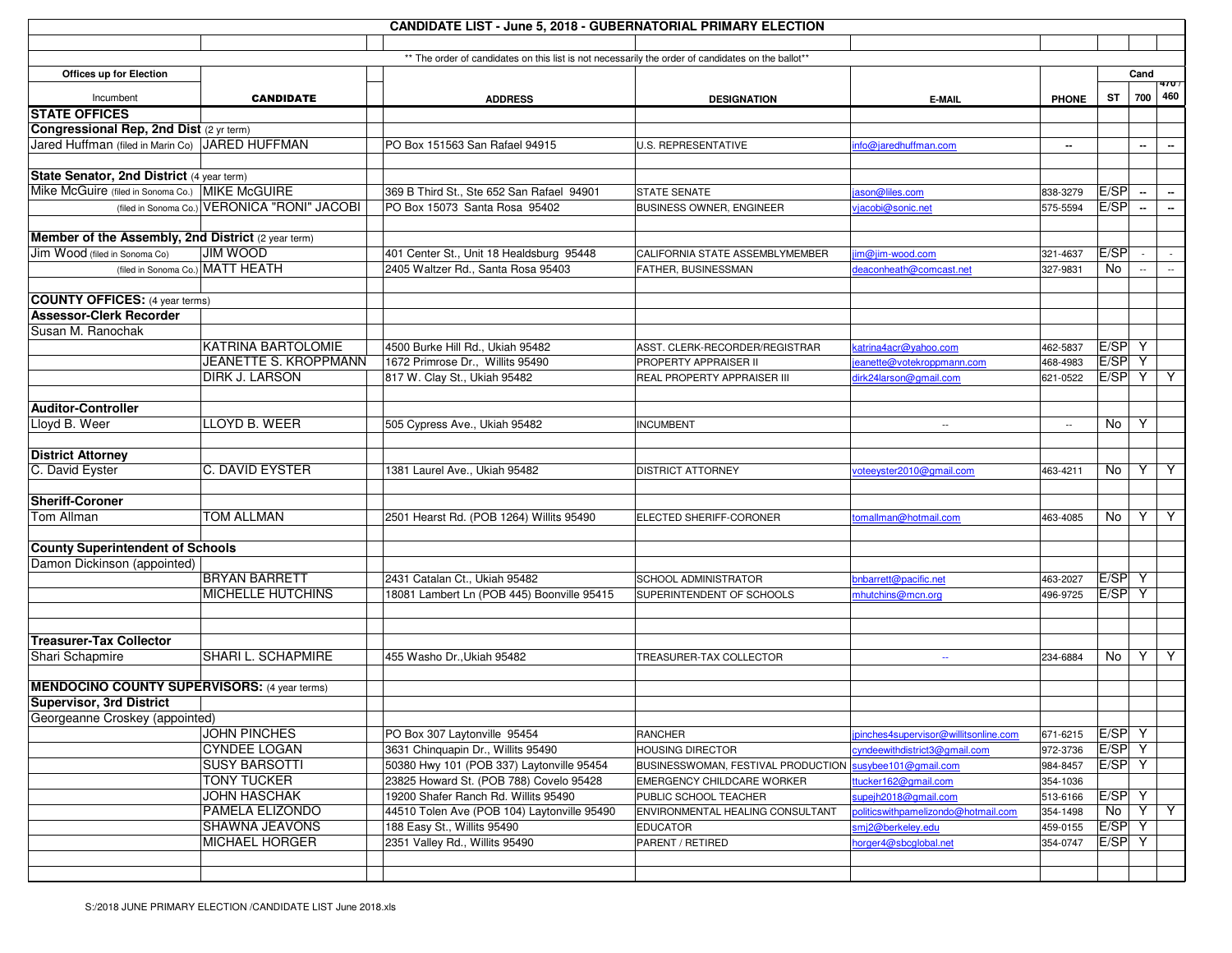| <b>CANDIDATE LIST - June 5, 2018 - GUBERNATORIAL PRIMARY ELECTION</b> |                                              |                                                                                                    |                                    |                                       |              |            |                          |                 |  |  |  |  |
|-----------------------------------------------------------------------|----------------------------------------------|----------------------------------------------------------------------------------------------------|------------------------------------|---------------------------------------|--------------|------------|--------------------------|-----------------|--|--|--|--|
|                                                                       |                                              |                                                                                                    |                                    |                                       |              |            |                          |                 |  |  |  |  |
|                                                                       |                                              | ** The order of candidates on this list is not necessarily the order of candidates on the ballot** |                                    |                                       |              |            |                          |                 |  |  |  |  |
| Offices up for Election                                               |                                              |                                                                                                    |                                    |                                       |              |            | Cand                     |                 |  |  |  |  |
| Incumbent                                                             | <b>CANDIDATE</b>                             | <b>ADDRESS</b>                                                                                     | <b>DESIGNATION</b>                 | E-MAIL                                | <b>PHONE</b> | <b>ST</b>  |                          | 470/<br>700 460 |  |  |  |  |
| <b>STATE OFFICES</b>                                                  |                                              |                                                                                                    |                                    |                                       |              |            |                          |                 |  |  |  |  |
| Congressional Rep, 2nd Dist (2 yr term)                               |                                              |                                                                                                    |                                    |                                       |              |            |                          |                 |  |  |  |  |
| Jared Huffman (filed in Marin Co) JARED HUFFMAN                       |                                              | PO Box 151563 San Rafael 94915                                                                     | U.S. REPRESENTATIVE                | info@jaredhuffman.com                 | --           |            | $\sim$                   | $\sim$          |  |  |  |  |
|                                                                       |                                              |                                                                                                    |                                    |                                       |              |            |                          |                 |  |  |  |  |
| State Senator, 2nd District (4 year term)                             |                                              |                                                                                                    |                                    |                                       |              |            |                          |                 |  |  |  |  |
| Mike McGuire (filed in Sonoma Co.) MIKE McGUIRE                       |                                              | 369 B Third St., Ste 652 San Rafael 94901                                                          | <b>STATE SENATE</b>                | ason@liles.com                        | 838-3279     | E/SP       | щ.                       | $\sim$          |  |  |  |  |
|                                                                       | (filed in Sonoma Co.) VERONICA "RONI" JACOBI | PO Box 15073 Santa Rosa 95402                                                                      | <b>BUSINESS OWNER, ENGINEER</b>    | vjacobi@sonic.net                     | 575-5594     | E/SP       | $\sim$                   | $\sim$          |  |  |  |  |
|                                                                       |                                              |                                                                                                    |                                    |                                       |              |            |                          |                 |  |  |  |  |
| Member of the Assembly, 2nd District (2 year term)                    |                                              |                                                                                                    |                                    |                                       |              |            |                          |                 |  |  |  |  |
| Jim Wood (filed in Sonoma Co)                                         | <b>JIM WOOD</b>                              | 401 Center St., Unit 18 Healdsburg 95448                                                           | CALIFORNIA STATE ASSEMBLYMEMBER    | im@jim-wood.com                       | 321-4637     | E/SP       |                          | $\sim$          |  |  |  |  |
|                                                                       | (filed in Sonoma Co.) MATT HEATH             | 2405 Waltzer Rd., Santa Rosa 95403                                                                 | FATHER, BUSINESSMAN                | deaconheath@comcast.net               | 327-9831     | No         | $\overline{\phantom{a}}$ | $\sim$          |  |  |  |  |
|                                                                       |                                              |                                                                                                    |                                    |                                       |              |            |                          |                 |  |  |  |  |
| <b>COUNTY OFFICES:</b> (4 year terms)                                 |                                              |                                                                                                    |                                    |                                       |              |            |                          |                 |  |  |  |  |
| <b>Assessor-Clerk Recorder</b>                                        |                                              |                                                                                                    |                                    |                                       |              |            |                          |                 |  |  |  |  |
| Susan M. Ranochak                                                     |                                              |                                                                                                    |                                    |                                       |              |            |                          |                 |  |  |  |  |
|                                                                       | <b>KATRINA BARTOLOMIE</b>                    | 4500 Burke Hill Rd., Ukiah 95482                                                                   | ASST. CLERK-RECORDER/REGISTRAR     | katrina4acr@yahoo.com                 | 462-5837     | E/SP Y     |                          |                 |  |  |  |  |
|                                                                       | JEANETTE S. KROPPMANN                        | 1672 Primrose Dr., Willits 95490                                                                   | PROPERTY APPRAISER II              | eanette@votekroppmann.com             | 468-4983     | $E/SP$ $Y$ |                          |                 |  |  |  |  |
|                                                                       | DIRK J. LARSON                               | 817 W. Clay St., Ukiah 95482                                                                       | REAL PROPERTY APPRAISER III        | dirk24larson@gmail.com                | 621-0522     | E/SP Y Y   |                          |                 |  |  |  |  |
|                                                                       |                                              |                                                                                                    |                                    |                                       |              |            |                          |                 |  |  |  |  |
| <b>Auditor-Controller</b>                                             |                                              |                                                                                                    |                                    |                                       |              |            |                          |                 |  |  |  |  |
| Lloyd B. Weer                                                         | LLOYD B. WEER                                | 505 Cypress Ave., Ukiah 95482                                                                      | <b>INCUMBENT</b>                   | $\sim$                                | $\sim$       | No         | Y                        |                 |  |  |  |  |
|                                                                       |                                              |                                                                                                    |                                    |                                       |              |            |                          |                 |  |  |  |  |
| <b>District Attorney</b>                                              |                                              |                                                                                                    |                                    |                                       |              |            |                          |                 |  |  |  |  |
| C. David Eyster                                                       | C. DAVID EYSTER                              | 1381 Laurel Ave., Ukiah 95482                                                                      | DISTRICT ATTORNEY                  | voteeyster2010@gmail.com              | 463-4211     | No         | Y                        | Y               |  |  |  |  |
|                                                                       |                                              |                                                                                                    |                                    |                                       |              |            |                          |                 |  |  |  |  |
| <b>Sheriff-Coroner</b>                                                |                                              |                                                                                                    |                                    |                                       |              |            |                          |                 |  |  |  |  |
| Tom Allman                                                            | <b>TOM ALLMAN</b>                            | 2501 Hearst Rd. (POB 1264) Willits 95490                                                           | ELECTED SHERIFF-CORONER            | tomallman@hotmail.com                 | 463-4085     | No         |                          | YY              |  |  |  |  |
|                                                                       |                                              |                                                                                                    |                                    |                                       |              |            |                          |                 |  |  |  |  |
| <b>County Superintendent of Schools</b>                               |                                              |                                                                                                    |                                    |                                       |              |            |                          |                 |  |  |  |  |
| Damon Dickinson (appointed)                                           |                                              |                                                                                                    |                                    |                                       |              |            |                          |                 |  |  |  |  |
|                                                                       | <b>BRYAN BARRETT</b>                         | 2431 Catalan Ct., Ukiah 95482                                                                      | SCHOOL ADMINISTRATOR               | bnbarrett@pacific.net                 | 463-2027     | $E/SP$ Y   |                          |                 |  |  |  |  |
|                                                                       | <b>MICHELLE HUTCHINS</b>                     | 18081 Lambert Ln (POB 445) Boonville 95415                                                         | SUPERINTENDENT OF SCHOOLS          | mhutchins@mcn.org                     | 496-9725     | E/SP Y     |                          |                 |  |  |  |  |
|                                                                       |                                              |                                                                                                    |                                    |                                       |              |            |                          |                 |  |  |  |  |
|                                                                       |                                              |                                                                                                    |                                    |                                       |              |            |                          |                 |  |  |  |  |
| <b>Treasurer-Tax Collector</b>                                        |                                              |                                                                                                    |                                    |                                       |              |            |                          |                 |  |  |  |  |
| Shari Schapmire                                                       | SHARI L. SCHAPMIRE                           | 455 Washo Dr., Ukiah 95482                                                                         | TREASURER-TAX COLLECTOR            | $\sim$                                | 234-6884     | No         | Y                        | Y               |  |  |  |  |
|                                                                       |                                              |                                                                                                    |                                    |                                       |              |            |                          |                 |  |  |  |  |
| <b>MENDOCINO COUNTY SUPERVISORS: (4 year terms)</b>                   |                                              |                                                                                                    |                                    |                                       |              |            |                          |                 |  |  |  |  |
| <b>Supervisor, 3rd District</b>                                       |                                              |                                                                                                    |                                    |                                       |              |            |                          |                 |  |  |  |  |
| Georgeanne Croskey (appointed)                                        |                                              |                                                                                                    |                                    |                                       |              |            |                          |                 |  |  |  |  |
|                                                                       | JOHN PINCHES                                 | PO Box 307 Laytonville 95454                                                                       | RANCHER                            | ipinches4supervisor@willitsonline.com | 671-6215     | $E/SP$ Y   |                          |                 |  |  |  |  |
|                                                                       | <b>CYNDEE LOGAN</b>                          | 3631 Chinquapin Dr., Willits 95490                                                                 | <b>HOUSING DIRECTOR</b>            | cyndeewithdistrict3@gmail.com         | 972-3736     | $E/SP$ Y   |                          |                 |  |  |  |  |
|                                                                       | <b>SUSY BARSOTTI</b>                         | 50380 Hwy 101 (POB 337) Laytonville 95454                                                          | BUSINESSWOMAN, FESTIVAL PRODUCTION | susybee101@gmail.com                  | 984-8457     | $E/SP$ Y   |                          |                 |  |  |  |  |
|                                                                       | <b>TONY TUCKER</b>                           | 23825 Howard St. (POB 788) Covelo 95428                                                            | EMERGENCY CHILDCARE WORKER         | ttucker162@gmail.com                  | 354-1036     |            |                          |                 |  |  |  |  |
|                                                                       | JOHN HASCHAK                                 | 19200 Shafer Ranch Rd. Willits 95490                                                               | PUBLIC SCHOOL TEACHER              | supejh2018@gmail.com                  | 513-6166     | $E/SP$ Y   |                          |                 |  |  |  |  |
|                                                                       | <b>PAMELA ELIZONDO</b>                       | 44510 Tolen Ave (POB 104) Laytonville 95490                                                        | ENVIRONMENTAL HEALING CONSULTANT   | politicswithpamelizondo@hotmail.com   | 354-1498     | No         |                          | $Y \mid Y$      |  |  |  |  |
|                                                                       | <b>SHAWNA JEAVONS</b>                        | 188 Easy St., Willits 95490                                                                        | <b>EDUCATOR</b>                    | smj2@berkeley.edu                     | 459-0155     | $E/SP$ Y   |                          |                 |  |  |  |  |
|                                                                       | <b>MICHAEL HORGER</b>                        | 2351 Valley Rd., Willits 95490                                                                     | PARENT / RETIRED                   | horger4@sbcglobal.net                 | 354-0747     | $E/SP$ Y   |                          |                 |  |  |  |  |
|                                                                       |                                              |                                                                                                    |                                    |                                       |              |            |                          |                 |  |  |  |  |
|                                                                       |                                              |                                                                                                    |                                    |                                       |              |            |                          |                 |  |  |  |  |